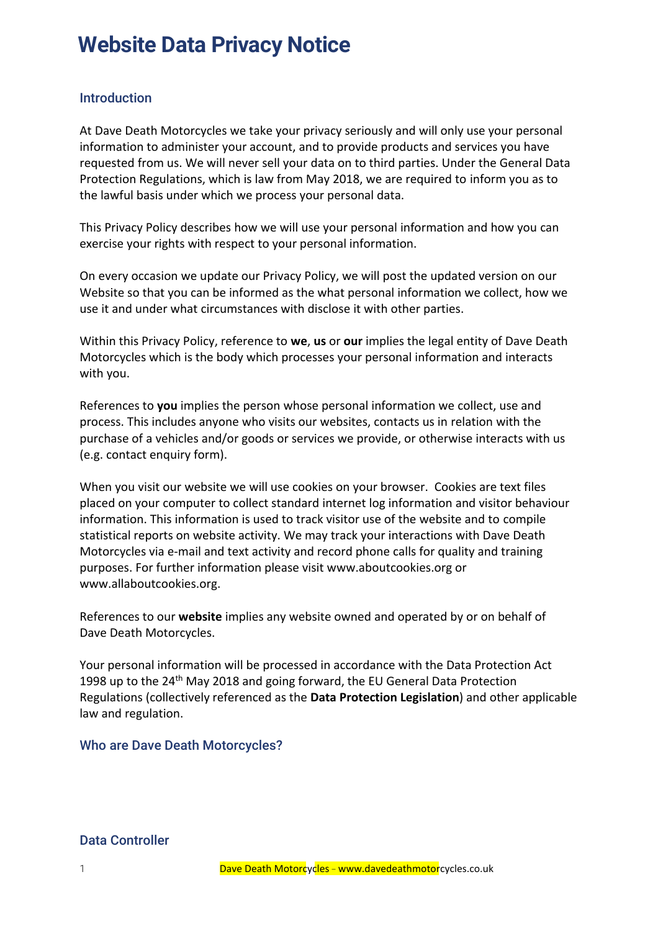### *Introduction*

At Dave Death Motorcycles we take your privacy seriously and will only use your personal information to administer your account, and to provide products and services you have requested from us. We will never sell your data on to third parties. Under the General Data Protection Regulations, which is law from May 2018, we are required to inform you as to the lawful basis under which we process your personal data.

This Privacy Policy describes how we will use your personal information and how you can exercise your rights with respect to your personal information.

On every occasion we update our Privacy Policy, we will post the updated version on our Website so that you can be informed as the what personal information we collect, how we use it and under what circumstances with disclose it with other parties.

Within this Privacy Policy, reference to **we**, **us** or **our** implies the legal entity of Dave Death Motorcycles which is the body which processes your personal information and interacts with you.

References to **you** implies the person whose personal information we collect, use and process. This includes anyone who visits our websites, contacts us in relation with the purchase of a vehicles and/or goods or services we provide, or otherwise interacts with us (e.g. contact enquiry form).

When you visit our website we will use cookies on your browser. Cookies are text files placed on your computer to collect standard internet log information and visitor behaviour information. This information is used to track visitor use of the website and to compile statistical reports on website activity. We may track your interactions with Dave Death Motorcycles via e-mail and text activity and record phone calls for quality and training purposes. For further information please visit www.aboutcookies.org or [www.allaboutcookies.org.](http://www.allaboutcookies.org/)

References to our **website** implies any website owned and operated by or on behalf of Dave Death Motorcycles.

Your personal information will be processed in accordance with the Data Protection Act 1998 up to the 24<sup>th</sup> May 2018 and going forward, the EU General Data Protection Regulations (collectively referenced as the **Data Protection Legislation**) and other applicable law and regulation.

### *Who are* Dave Death Motorcycles*?*

*Data Controller*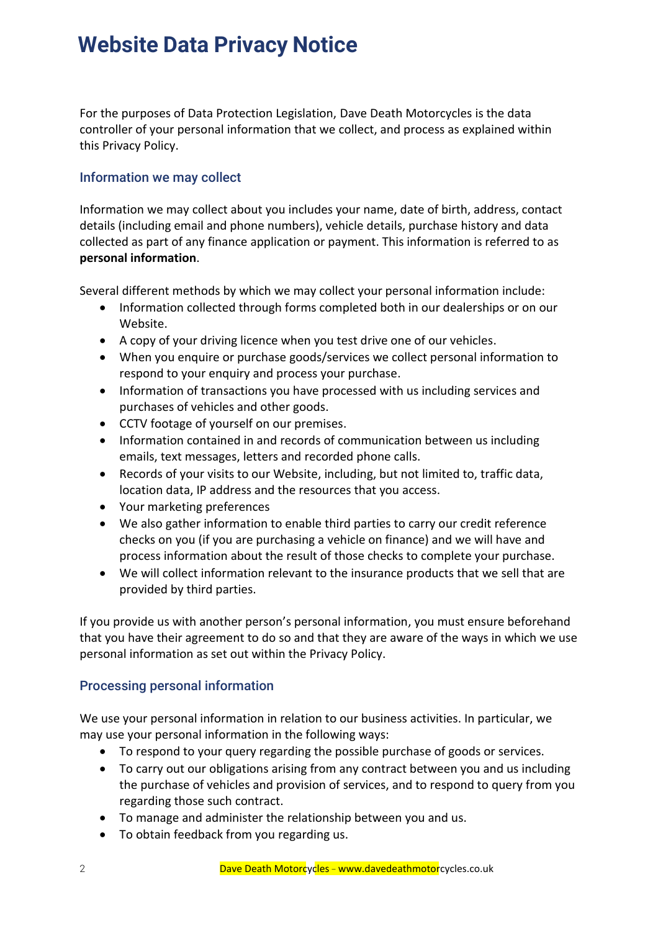For the purposes of Data Protection Legislation, Dave Death Motorcycles is the data controller of your personal information that we collect, and process as explained within this Privacy Policy.

### *Information we may collect*

Information we may collect about you includes your name, date of birth, address, contact details (including email and phone numbers), vehicle details, purchase history and data collected as part of any finance application or payment. This information is referred to as **personal information**.

Several different methods by which we may collect your personal information include:

- Information collected through forms completed both in our dealerships or on our Website.
- A copy of your driving licence when you test drive one of our vehicles.
- When you enquire or purchase goods/services we collect personal information to respond to your enquiry and process your purchase.
- Information of transactions you have processed with us including services and purchases of vehicles and other goods.
- CCTV footage of yourself on our premises.
- Information contained in and records of communication between us including emails, text messages, letters and recorded phone calls.
- Records of your visits to our Website, including, but not limited to, traffic data, location data, IP address and the resources that you access.
- Your marketing preferences
- We also gather information to enable third parties to carry our credit reference checks on you (if you are purchasing a vehicle on finance) and we will have and process information about the result of those checks to complete your purchase.
- We will collect information relevant to the insurance products that we sell that are provided by third parties.

If you provide us with another person's personal information, you must ensure beforehand that you have their agreement to do so and that they are aware of the ways in which we use personal information as set out within the Privacy Policy.

### *Processing personal information*

We use your personal information in relation to our business activities. In particular, we may use your personal information in the following ways:

- To respond to your query regarding the possible purchase of goods or services.
- To carry out our obligations arising from any contract between you and us including the purchase of vehicles and provision of services, and to respond to query from you regarding those such contract.
- To manage and administer the relationship between you and us.
- To obtain feedback from you regarding us.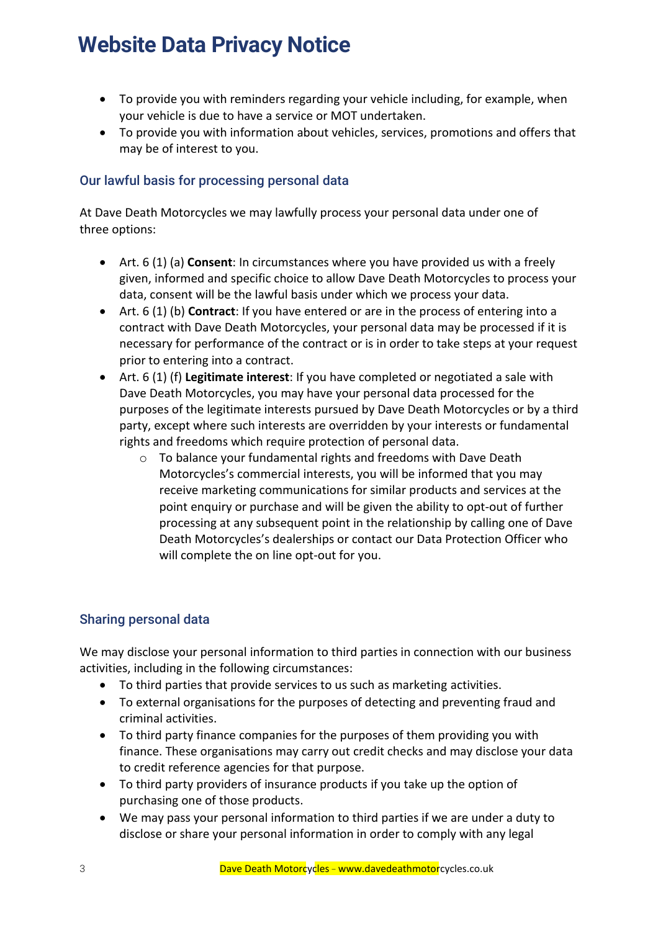- To provide you with reminders regarding your vehicle including, for example, when your vehicle is due to have a service or MOT undertaken.
- To provide you with information about vehicles, services, promotions and offers that may be of interest to you.

## *Our lawful basis for processing personal data*

At Dave Death Motorcycles we may lawfully process your personal data under one of three options:

- Art. 6 (1) (a) **Consent**: In circumstances where you have provided us with a freely given, informed and specific choice to allow Dave Death Motorcycles to process your data, consent will be the lawful basis under which we process your data.
- Art. 6 (1) (b) **Contract**: If you have entered or are in the process of entering into a contract with Dave Death Motorcycles, your personal data may be processed if it is necessary for performance of the contract or is in order to take steps at your request prior to entering into a contract.
- Art. 6 (1) (f) **Legitimate interest**: If you have completed or negotiated a sale with Dave Death Motorcycles, you may have your personal data processed for the purposes of the legitimate interests pursued by Dave Death Motorcycles or by a third party, except where such interests are overridden by your interests or fundamental rights and freedoms which require protection of personal data.
	- o To balance your fundamental rights and freedoms with Dave Death Motorcycles's commercial interests, you will be informed that you may receive marketing communications for similar products and services at the point enquiry or purchase and will be given the ability to opt-out of further processing at any subsequent point in the relationship by calling one of Dave Death Motorcycles's dealerships or contact our Data Protection Officer who will complete the on line opt-out for you.

## *Sharing personal data*

We may disclose your personal information to third parties in connection with our business activities, including in the following circumstances:

- To third parties that provide services to us such as marketing activities.
- To external organisations for the purposes of detecting and preventing fraud and criminal activities.
- To third party finance companies for the purposes of them providing you with finance. These organisations may carry out credit checks and may disclose your data to credit reference agencies for that purpose.
- To third party providers of insurance products if you take up the option of purchasing one of those products.
- We may pass your personal information to third parties if we are under a duty to disclose or share your personal information in order to comply with any legal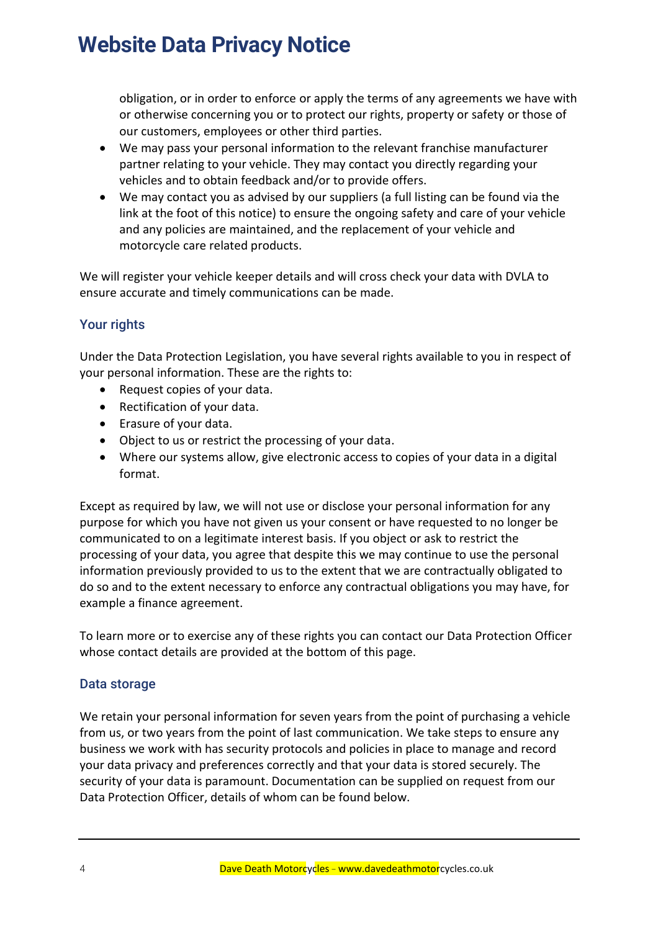obligation, or in order to enforce or apply the terms of any agreements we have with or otherwise concerning you or to protect our rights, property or safety or those of our customers, employees or other third parties.

- We may pass your personal information to the relevant franchise manufacturer partner relating to your vehicle. They may contact you directly regarding your vehicles and to obtain feedback and/or to provide offers.
- We may contact you as advised by our suppliers (a full listing can be found via the link at the foot of this notice) to ensure the ongoing safety and care of your vehicle and any policies are maintained, and the replacement of your vehicle and motorcycle care related products.

We will register your vehicle keeper details and will cross check your data with DVLA to ensure accurate and timely communications can be made.

### *Your rights*

Under the Data Protection Legislation, you have several rights available to you in respect of your personal information. These are the rights to:

- Request copies of your data.
- Rectification of your data.
- Erasure of your data.
- Object to us or restrict the processing of your data.
- Where our systems allow, give electronic access to copies of your data in a digital format.

Except as required by law, we will not use or disclose your personal information for any purpose for which you have not given us your consent or have requested to no longer be communicated to on a legitimate interest basis. If you object or ask to restrict the processing of your data, you agree that despite this we may continue to use the personal information previously provided to us to the extent that we are contractually obligated to do so and to the extent necessary to enforce any contractual obligations you may have, for example a finance agreement.

To learn more or to exercise any of these rights you can contact our Data Protection Officer whose contact details are provided at the bottom of this page.

### *Data storage*

We retain your personal information for seven years from the point of purchasing a vehicle from us, or two years from the point of last communication. We take steps to ensure any business we work with has security protocols and policies in place to manage and record your data privacy and preferences correctly and that your data is stored securely. The security of your data is paramount. Documentation can be supplied on request from our Data Protection Officer, details of whom can be found below.